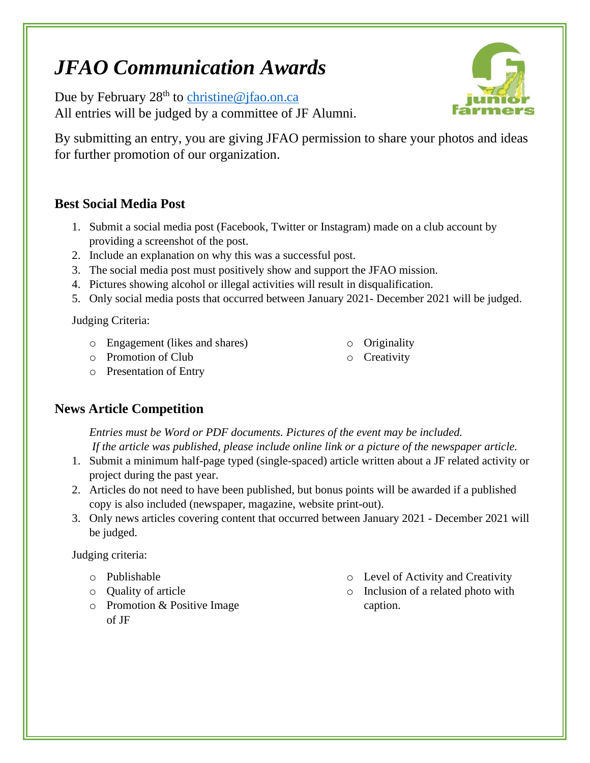# *JFAO Communication Awards*

Due by February  $28<sup>th</sup>$  to [christine@jfao.on.ca](mailto:christine@jfao.on.ca) All entries will be judged by a committee of JF Alumni.



By submitting an entry, you are giving JFAO permission to share your photos and ideas for further promotion of our organization.

#### **Best Social Media Post**

- 1. Submit a social media post (Facebook, Twitter or Instagram) made on a club account by providing a screenshot of the post.
- 2. Include an explanation on why this was a successful post.
- 3. The social media post must positively show and support the JFAO mission.
- 4. Pictures showing alcohol or illegal activities will result in disqualification.
- 5. Only social media posts that occurred between January 2021- December 2021 will be judged.

Judging Criteria:

- o Engagement (likes and shares)
- o Promotion of Club
- o Originality
- o Creativity

o Presentation of Entry

# **News Article Competition**

*Entries must be Word or PDF documents. Pictures of the event may be included. If the article was published, please include online link or a picture of the newspaper article.* 

- 1. Submit a minimum half-page typed (single-spaced) article written about a JF related activity or project during the past year.
- 2. Articles do not need to have been published, but bonus points will be awarded if a published copy is also included (newspaper, magazine, website print-out).
- 3. Only news articles covering content that occurred between January 2021 December 2021 will be judged.

Judging criteria:

- o Publishable
- o Quality of article
- o Promotion & Positive Image of JF
- o Level of Activity and Creativity
- o Inclusion of a related photo with caption.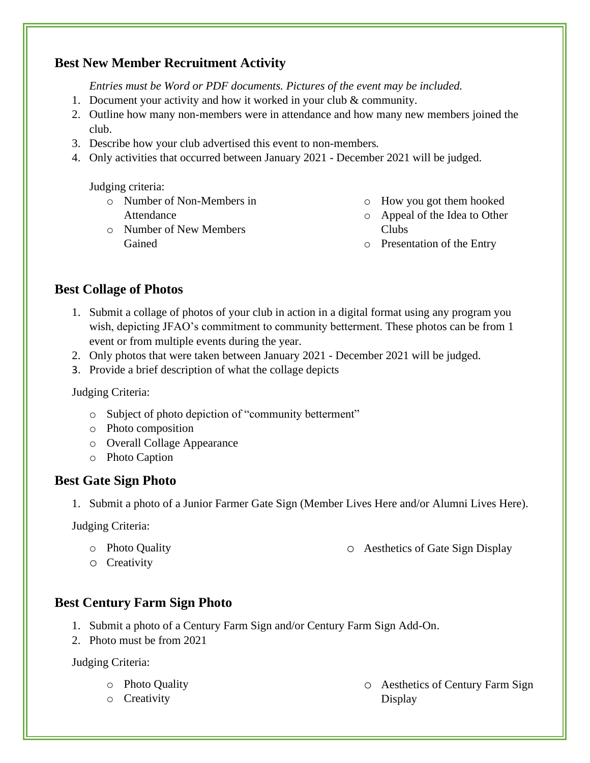# **Best New Member Recruitment Activity**

*Entries must be Word or PDF documents. Pictures of the event may be included.*

- 1. Document your activity and how it worked in your club & community.
- 2. Outline how many non-members were in attendance and how many new members joined the club.
- 3. Describe how your club advertised this event to non-members*.*
- 4. Only activities that occurred between January 2021 December 2021 will be judged.

Judging criteria:

Gained

o Number of Non-Members in Attendance

o Number of New Members

- o How you got them hooked
- o Appeal of the Idea to Other Clubs
- o Presentation of the Entry

#### **Best Collage of Photos**

- 1. Submit a collage of photos of your club in action in a digital format using any program you wish, depicting JFAO's commitment to community betterment. These photos can be from 1 event or from multiple events during the year.
- 2. Only photos that were taken between January 2021 December 2021 will be judged.
- 3. Provide a brief description of what the collage depicts

#### Judging Criteria:

- o Subject of photo depiction of "community betterment"
- o Photo composition
- o Overall Collage Appearance
- o Photo Caption

#### **Best Gate Sign Photo**

1. Submit a photo of a Junior Farmer Gate Sign (Member Lives Here and/or Alumni Lives Here).

Judging Criteria:

o Photo Quality

o Aesthetics of Gate Sign Display

o Creativity

#### **Best Century Farm Sign Photo**

- 1. Submit a photo of a Century Farm Sign and/or Century Farm Sign Add-On.
- 2. Photo must be from 2021

Judging Criteria:

- o Photo Quality
- o Creativity

o Aesthetics of Century Farm Sign Display